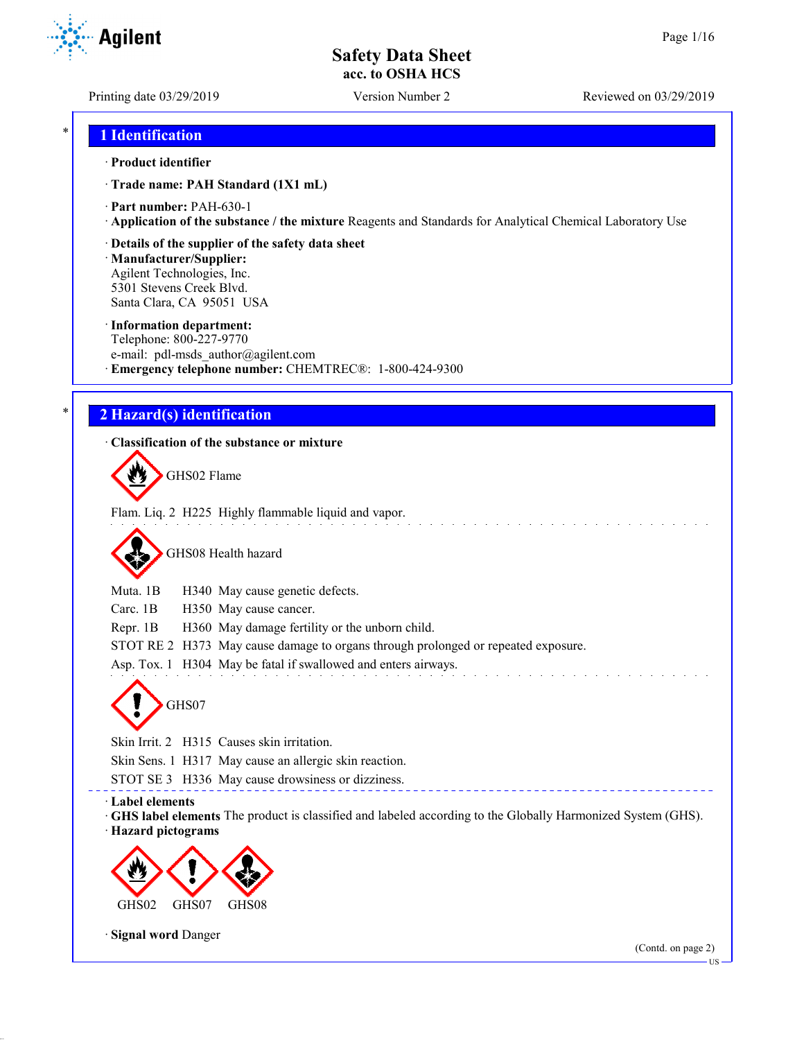**Agilent** 

Printing date 03/29/2019 Version Number 2 Reviewed on 03/29/2019

## \* **1 Identification**

#### · **Product identifier**

· **Trade name: PAH Standard (1X1 mL)**

· **Part number:** PAH-630-1

· **Application of the substance / the mixture** Reagents and Standards for Analytical Chemical Laboratory Use

### · **Details of the supplier of the safety data sheet**

· **Manufacturer/Supplier:** Agilent Technologies, Inc. 5301 Stevens Creek Blvd. Santa Clara, CA 95051 USA

#### · **Information department:**

Telephone: 800-227-9770 e-mail: pdl-msds author@agilent.com · **Emergency telephone number:** CHEMTREC®: 1-800-424-9300

## \* **2 Hazard(s) identification**

### · **Classification of the substance or mixture**

GHS02 Flame

Flam. Liq. 2 H225 Highly flammable liquid and vapor.

GHS08 Health hazard

Muta. 1B H340 May cause genetic defects.

Carc. 1B H350 May cause cancer.

Repr. 1B H360 May damage fertility or the unborn child.

STOT RE 2 H373 May cause damage to organs through prolonged or repeated exposure.

Asp. Tox. 1 H304 May be fatal if swallowed and enters airways.



Skin Irrit. 2 H315 Causes skin irritation.

Skin Sens. 1 H317 May cause an allergic skin reaction.

STOT SE 3 H336 May cause drowsiness or dizziness.

### · **Label elements**

· **GHS label elements** The product is classified and labeled according to the Globally Harmonized System (GHS). · **Hazard pictograms**



· **Signal word** Danger

US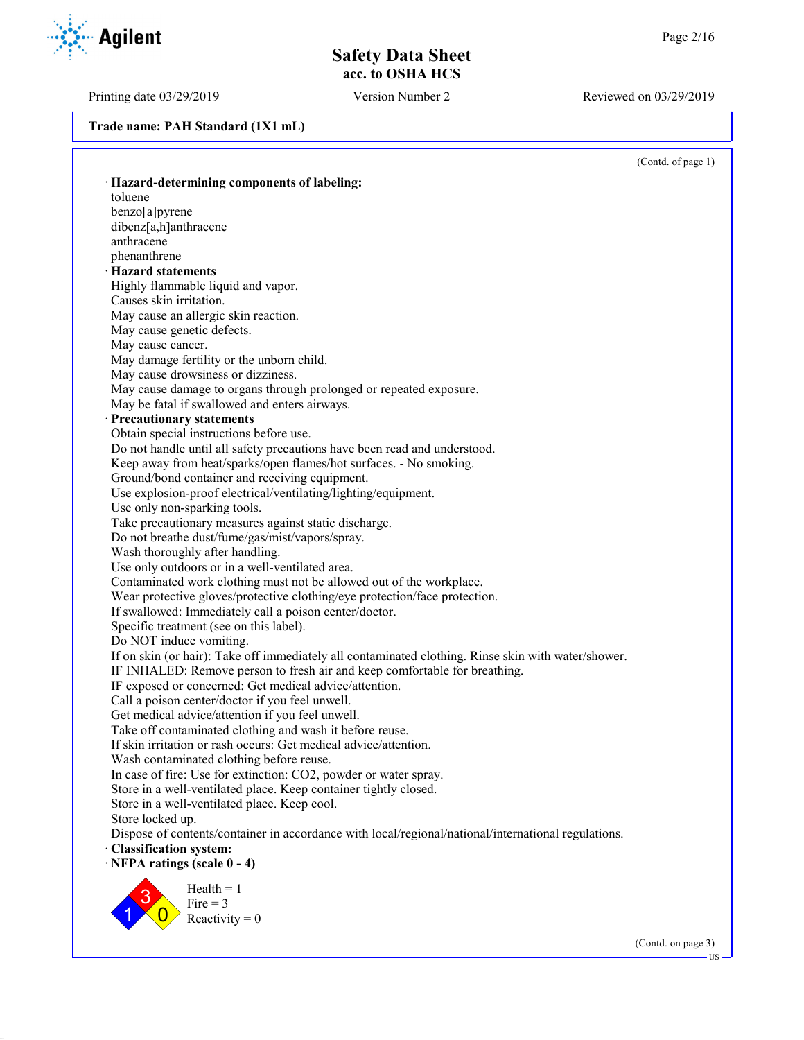Printing date 03/29/2019 Version Number 2 Reviewed on 03/29/2019

**Trade name: PAH Standard (1X1 mL)**

(Contd. of page 1) · **Hazard-determining components of labeling:** toluene benzo[a]pyrene dibenz[a,h]anthracene anthracene phenanthrene · **Hazard statements** Highly flammable liquid and vapor. Causes skin irritation. May cause an allergic skin reaction. May cause genetic defects. May cause cancer. May damage fertility or the unborn child. May cause drowsiness or dizziness. May cause damage to organs through prolonged or repeated exposure. May be fatal if swallowed and enters airways. · **Precautionary statements** Obtain special instructions before use. Do not handle until all safety precautions have been read and understood. Keep away from heat/sparks/open flames/hot surfaces. - No smoking. Ground/bond container and receiving equipment. Use explosion-proof electrical/ventilating/lighting/equipment. Use only non-sparking tools. Take precautionary measures against static discharge. Do not breathe dust/fume/gas/mist/vapors/spray. Wash thoroughly after handling. Use only outdoors or in a well-ventilated area. Contaminated work clothing must not be allowed out of the workplace. Wear protective gloves/protective clothing/eye protection/face protection. If swallowed: Immediately call a poison center/doctor. Specific treatment (see on this label). Do NOT induce vomiting. If on skin (or hair): Take off immediately all contaminated clothing. Rinse skin with water/shower. IF INHALED: Remove person to fresh air and keep comfortable for breathing. IF exposed or concerned: Get medical advice/attention. Call a poison center/doctor if you feel unwell. Get medical advice/attention if you feel unwell. Take off contaminated clothing and wash it before reuse. If skin irritation or rash occurs: Get medical advice/attention. Wash contaminated clothing before reuse. In case of fire: Use for extinction: CO2, powder or water spray. Store in a well-ventilated place. Keep container tightly closed. Store in a well-ventilated place. Keep cool. Store locked up. Dispose of contents/container in accordance with local/regional/national/international regulations. · **Classification system:** · **NFPA ratings (scale 0 - 4)** 1 3  $\overline{0}$  $Health = 1$  $Fire = 3$ Reactivity  $= 0$ 



(Contd. on page 3)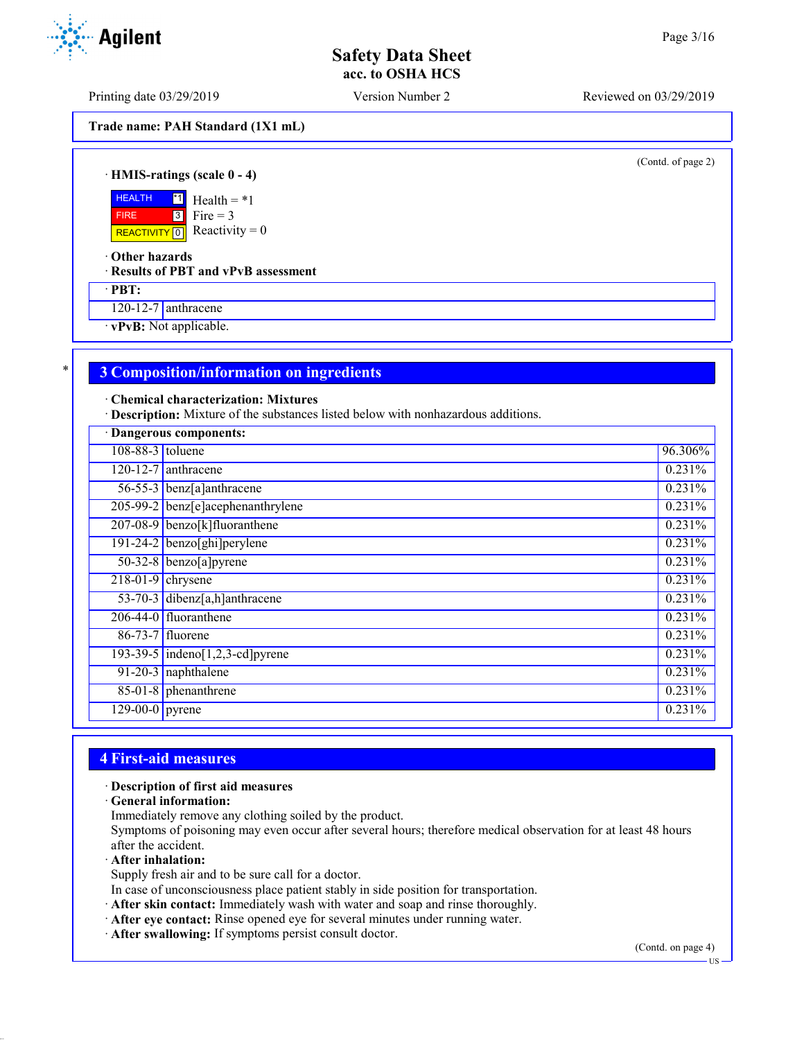Printing date 03/29/2019 Version Number 2 Reviewed on 03/29/2019

**Trade name: PAH Standard (1X1 mL)**

(Contd. of page 2)

· **HMIS-ratings (scale 0 - 4)**

**HEALTH**  FIRE REACTIVITY  $\boxed{0}$  Reactivity = 0 \*1 3  $Health = *1$ Fire  $= 3$ 

· **Other hazards**

· **Results of PBT and vPvB assessment**

· **PBT:**

120-12-7 anthracene

· **vPvB:** Not applicable.

## \* **3 Composition/information on ingredients**

· **Chemical characterization: Mixtures**

· **Description:** Mixture of the substances listed below with nonhazardous additions.

| · Dangerous components: |                                   |           |
|-------------------------|-----------------------------------|-----------|
| 108-88-3 toluene        |                                   | 96.306%   |
|                         | $120 - 12 - 7$ anthracene         | 0.231%    |
|                         | 56-55-3 benz[a]anthracene         | 0.231%    |
|                         | 205-99-2 benz[e]acephenanthrylene | 0.231%    |
|                         | 207-08-9 benzo[k]fluoranthene     | 0.231%    |
|                         | $191-24-2$ benzo[ghi]perylene     | $0.231\%$ |
|                         | $50-32-8$ benzo[a] pyrene         | 0.231%    |
| $218-01-9$ chrysene     |                                   | 0.231%    |
|                         | 53-70-3 dibenz[a,h]anthracene     | 0.231%    |
|                         | $206-44-0$ fluoranthene           | 0.231%    |
|                         | 86-73-7 fluorene                  | 0.231%    |
|                         | 193-39-5 indeno[1,2,3-cd] pyrene  | 0.231%    |
|                         | 91-20-3 naphthalene               | 0.231%    |
|                         | 85-01-8 phenanthrene              | 0.231%    |
| $129-00-0$ pyrene       |                                   | 0.231%    |

## **4 First-aid measures**

#### · **Description of first aid measures**

· **General information:**

Immediately remove any clothing soiled by the product.

Symptoms of poisoning may even occur after several hours; therefore medical observation for at least 48 hours after the accident.

· **After inhalation:**

Supply fresh air and to be sure call for a doctor.

- In case of unconsciousness place patient stably in side position for transportation.
- · **After skin contact:** Immediately wash with water and soap and rinse thoroughly.
- · **After eye contact:** Rinse opened eye for several minutes under running water.
- · **After swallowing:** If symptoms persist consult doctor.

(Contd. on page 4)



US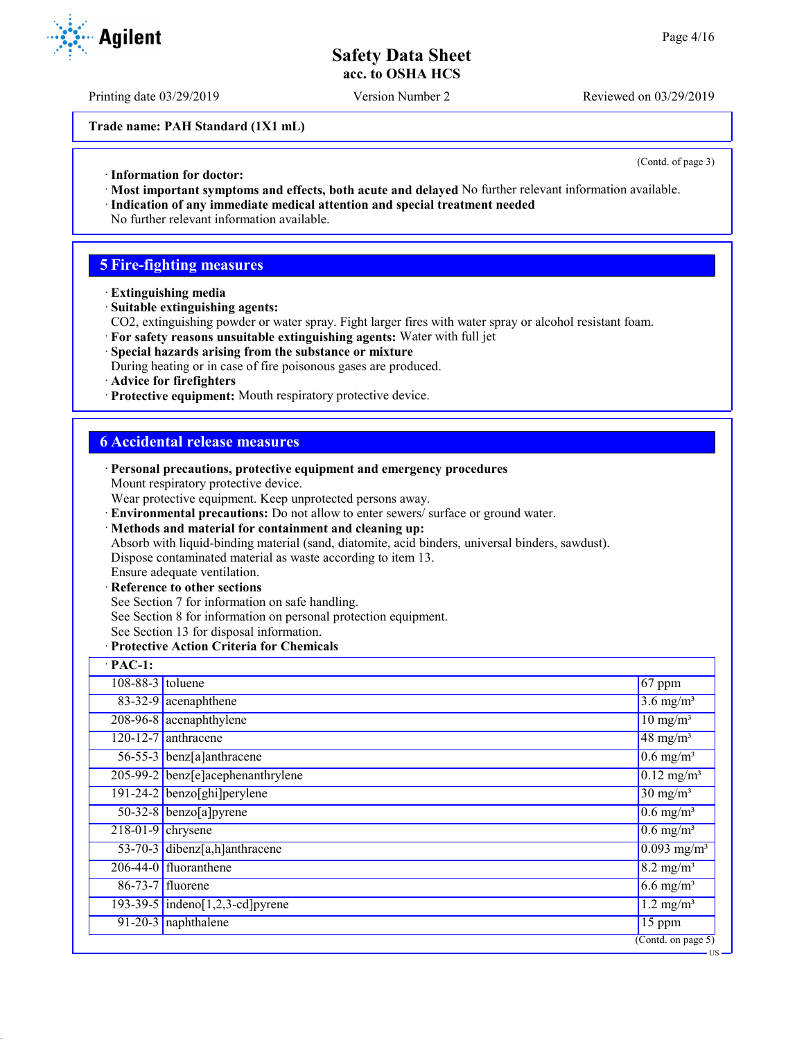Printing date 03/29/2019 Version Number 2 Reviewed on 03/29/2019

**Trade name: PAH Standard (1X1 mL)**

(Contd. of page 3)

- · **Information for doctor:**
- · **Most important symptoms and effects, both acute and delayed** No further relevant information available.
- · **Indication of any immediate medical attention and special treatment needed** No further relevant information available.

## **5 Fire-fighting measures**

- · **Extinguishing media**
- · **Suitable extinguishing agents:**
- CO2, extinguishing powder or water spray. Fight larger fires with water spray or alcohol resistant foam.
- · **For safety reasons unsuitable extinguishing agents:** Water with full jet

· **Personal precautions, protective equipment and emergency procedures**

· **Environmental precautions:** Do not allow to enter sewers/ surface or ground water.

- · **Special hazards arising from the substance or mixture**
- During heating or in case of fire poisonous gases are produced.
- · **Advice for firefighters**
- · **Protective equipment:** Mouth respiratory protective device.

Wear protective equipment. Keep unprotected persons away.

## **6 Accidental release measures**

Mount respiratory protective device.

|                                                                                                  | · Methods and material for containment and cleaning up:                                                     |                                        |  |
|--------------------------------------------------------------------------------------------------|-------------------------------------------------------------------------------------------------------------|----------------------------------------|--|
| Absorb with liquid-binding material (sand, diatomite, acid binders, universal binders, sawdust). |                                                                                                             |                                        |  |
| Dispose contaminated material as waste according to item 13.<br>Ensure adequate ventilation.     |                                                                                                             |                                        |  |
|                                                                                                  |                                                                                                             |                                        |  |
|                                                                                                  | · Reference to other sections                                                                               |                                        |  |
|                                                                                                  | See Section 7 for information on safe handling.                                                             |                                        |  |
|                                                                                                  | See Section 8 for information on personal protection equipment.<br>See Section 13 for disposal information. |                                        |  |
|                                                                                                  | · Protective Action Criteria for Chemicals                                                                  |                                        |  |
| $\cdot$ PAC-1:                                                                                   |                                                                                                             |                                        |  |
|                                                                                                  |                                                                                                             |                                        |  |
| $108 - 88 - 3$ toluene                                                                           |                                                                                                             | 67 ppm                                 |  |
|                                                                                                  | 83-32-9 acenaphthene                                                                                        | $\overline{3.6}$ mg/m <sup>3</sup>     |  |
|                                                                                                  | 208-96-8 acenaphthylene                                                                                     | $10$ mg/m <sup>3</sup>                 |  |
|                                                                                                  | 120-12-7 anthracene                                                                                         | $48 \text{ mg/m}^3$                    |  |
|                                                                                                  | 56-55-3 benz[a]anthracene                                                                                   | $\overline{0.6}$ mg/m <sup>3</sup>     |  |
|                                                                                                  | $205-99-2$ benz[e]acephenanthrylene                                                                         | $0.12 \text{ mg/m}^3$                  |  |
|                                                                                                  | 191-24-2 benzo[ghi]perylene                                                                                 | $30 \text{ mg/m}^3$                    |  |
|                                                                                                  | 50-32-8 benzo[a]pyrene                                                                                      | $0.6$ mg/m <sup>3</sup>                |  |
| $218-01-9$ chrysene                                                                              |                                                                                                             | $\overline{0.6 \text{ mg}}/\text{m}^3$ |  |
|                                                                                                  | 53-70-3 dibenz[a,h]anthracene                                                                               | $0.093$ mg/m <sup>3</sup>              |  |
|                                                                                                  | $206-44-0$ fluoranthene                                                                                     | $8.2 \text{ mg/m}^3$                   |  |
|                                                                                                  | 86-73-7 fluorene                                                                                            | $6.6 \text{ mg/m}^3$                   |  |
|                                                                                                  | 193-39-5 indeno[1,2,3-cd] pyrene                                                                            | $1.2 \text{ mg/m}^3$                   |  |
|                                                                                                  | $91-20-3$ naphthalene<br>15 ppm                                                                             |                                        |  |
|                                                                                                  |                                                                                                             | $\overline{(\text{Contd. on page 5})}$ |  |
|                                                                                                  |                                                                                                             | US                                     |  |

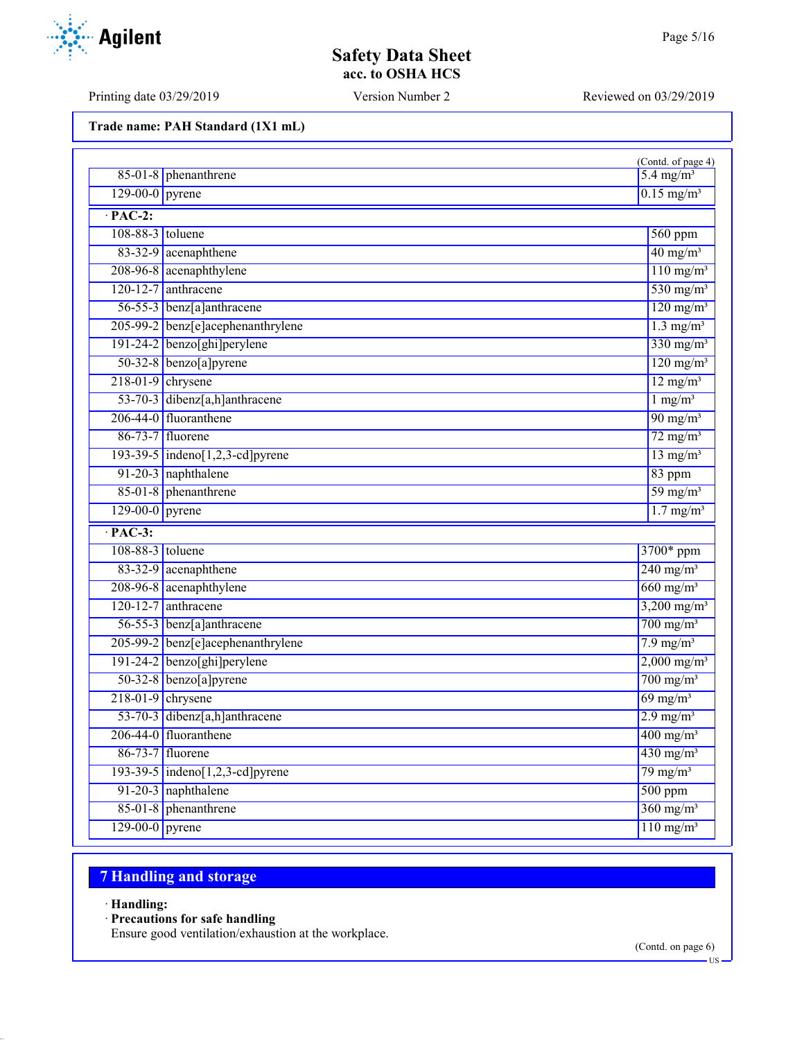Printing date 03/29/2019 Version Number 2 Reviewed on 03/29/2019

Agilent

**Trade name: PAH Standard (1X1 mL)**

|                   | $85-01-8$ phenanthrene                        | (Contd. of page 4)<br>$5.4 \text{ mg/m}^3$ |
|-------------------|-----------------------------------------------|--------------------------------------------|
|                   | $129-00-0$ pyrene<br>$0.15$ mg/m <sup>3</sup> |                                            |
| $\cdot$ PAC-2:    |                                               |                                            |
| 108-88-3 toluene  |                                               | $560$ ppm                                  |
|                   | 83-32-9 acenaphthene                          | $40 \text{ mg/m}^3$                        |
|                   | 208-96-8 acenaphthylene                       | $\overline{110 \text{ mg/m}^3}$            |
|                   | 120-12-7 anthracene                           | 530 mg/m <sup>3</sup>                      |
|                   | 56-55-3 benz[a]anthracene                     | $120$ mg/m <sup>3</sup>                    |
|                   | 205-99-2 benz[e]acephenanthrylene             | $1.3 \text{ mg/m}^3$                       |
|                   | $191-24-2$ benzo[ghi]perylene                 | $330$ mg/m <sup>3</sup>                    |
|                   | $50-32-8$ benzo[a] pyrene                     | $120$ mg/m <sup>3</sup>                    |
|                   | $218-01-9$ chrysene                           | $12$ mg/m <sup>3</sup>                     |
|                   | 53-70-3 dibenz[a,h]anthracene                 | $1$ mg/m <sup>3</sup>                      |
|                   | 206-44-0 fluoranthene                         | $\overline{90 \text{ mg/m}^3}$             |
|                   | 86-73-7 fluorene                              | $72$ mg/m <sup>3</sup>                     |
|                   | 193-39-5 $ $ indeno $[1,2,3$ -cd]pyrene       | $13$ mg/m <sup>3</sup>                     |
|                   | 91-20-3 naphthalene                           | 83 ppm                                     |
|                   | 85-01-8 phenanthrene                          | $59 \text{ mg/m}^3$                        |
| $129-00-0$ pyrene |                                               | $1.7$ mg/m <sup>3</sup>                    |
| $\cdot$ PAC-3:    |                                               |                                            |
| 108-88-3 toluene  |                                               | 3700* ppm                                  |
|                   | 83-32-9 acenaphthene                          | $240$ mg/m <sup>3</sup>                    |
|                   | 208-96-8 acenaphthylene                       | $660$ mg/m <sup>3</sup>                    |
|                   | $120 - 12 - 7$ anthracene                     | $3,200 \text{ mg/m}^3$                     |
|                   | 56-55-3 benz[a]anthracene                     | $700$ mg/m <sup>3</sup>                    |
|                   | 205-99-2 benz[e]acephenanthrylene             | $7.9$ mg/m <sup>3</sup>                    |
|                   | $191-24-2$ benzo[ghi]perylene                 | $2,000 \text{ mg/m}^3$                     |
|                   | $50-32-8$ benzo[a] pyrene                     | $700$ mg/m <sup>3</sup>                    |
|                   | $218-01-9$ chrysene                           | $69$ mg/m <sup>3</sup>                     |
|                   | 53-70-3 dibenz[a,h]anthracene                 | $2.9 \text{ mg/m}^3$                       |
|                   | 206-44-0 fluoranthene                         | $400$ mg/m <sup>3</sup>                    |
|                   | $86-73-7$ fluorene                            | $430$ mg/m <sup>3</sup>                    |
|                   | 193-39-5 $ $ indeno $[1,2,3$ -cd]pyrene       | $79 \text{ mg/m}^3$                        |
|                   | 91-20-3 naphthalene                           | $500$ ppm                                  |
|                   | 85-01-8 phenanthrene                          | $360$ mg/m <sup>3</sup>                    |
| $129-00-0$ pyrene |                                               | $110$ mg/m <sup>3</sup>                    |

# **7 Handling and storage**

· **Handling:**

· **Precautions for safe handling**

Ensure good ventilation/exhaustion at the workplace.

US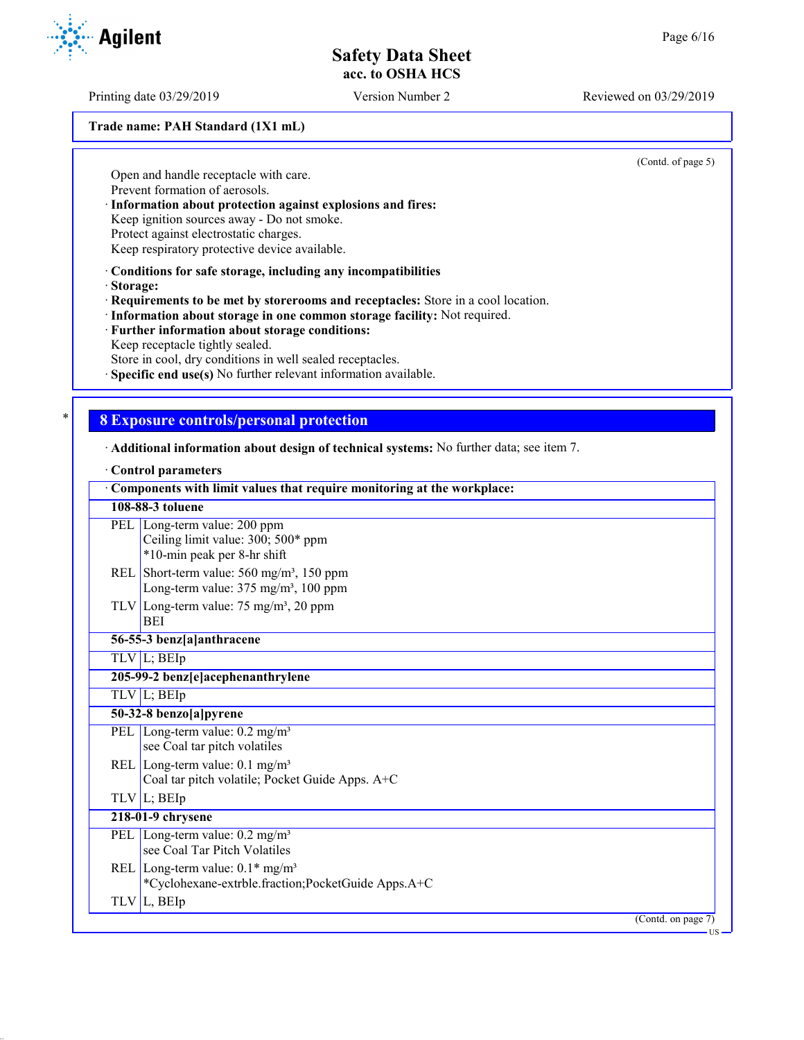Printing date 03/29/2019 Version Number 2 Reviewed on 03/29/2019

# **Trade name: PAH Standard (1X1 mL)**

Open and handle receptacle with care. Prevent formation of aerosols.

· **Information about protection against explosions and fires:**

Keep ignition sources away - Do not smoke.

Protect against electrostatic charges.

Keep respiratory protective device available.

· **Conditions for safe storage, including any incompatibilities**

· **Storage:**

· **Requirements to be met by storerooms and receptacles:** Store in a cool location.

- · **Information about storage in one common storage facility:** Not required.
- · **Further information about storage conditions:** Keep receptacle tightly sealed.

Store in cool, dry conditions in well sealed receptacles.

Specific end use(s) No further relevant information available.

## \* **8 Exposure controls/personal protection**

· **Additional information about design of technical systems:** No further data; see item 7.

#### · **Control parameters**

| Components with limit values that require monitoring at the workplace:                                            |
|-------------------------------------------------------------------------------------------------------------------|
| 108-88-3 toluene                                                                                                  |
| PEL Long-term value: 200 ppm<br>Ceiling limit value: 300; 500* ppm<br>*10-min peak per 8-hr shift                 |
| REL Short-term value: $560 \text{ mg/m}^3$ , 150 ppm<br>Long-term value: $375 \text{ mg/m}^3$ , $100 \text{ ppm}$ |
| TLV Long-term value: $75 \text{ mg/m}^3$ , 20 ppm<br><b>BEI</b>                                                   |
| 56-55-3 benz[a]anthracene                                                                                         |
| $TLV$ L; BEIp                                                                                                     |
| 205-99-2 benz[e]acephenanthrylene                                                                                 |
| TLV L; BEIp                                                                                                       |
| 50-32-8 benzo[a]pyrene                                                                                            |
| PEL $\overline{\text{Long-term value: } 0.2 \text{ mg/m}^3}$<br>see Coal tar pitch volatiles                      |
| REL Long-term value: $0.1 \text{ mg/m}^3$<br>Coal tar pitch volatile; Pocket Guide Apps. A+C                      |
| $TLV$ L; BEIp                                                                                                     |
| 218-01-9 chrysene                                                                                                 |
| PEL Long-term value: $0.2 \text{ mg/m}^3$<br>see Coal Tar Pitch Volatiles                                         |
| REL Long-term value: $0.1*$ mg/m <sup>3</sup><br>*Cyclohexane-extrble.fraction;PocketGuide Apps.A+C               |
| $TLV$ L, BEIp                                                                                                     |
| $\overline{(C}$ ontd. on page 7)                                                                                  |
| US-                                                                                                               |





(Contd. of page 5)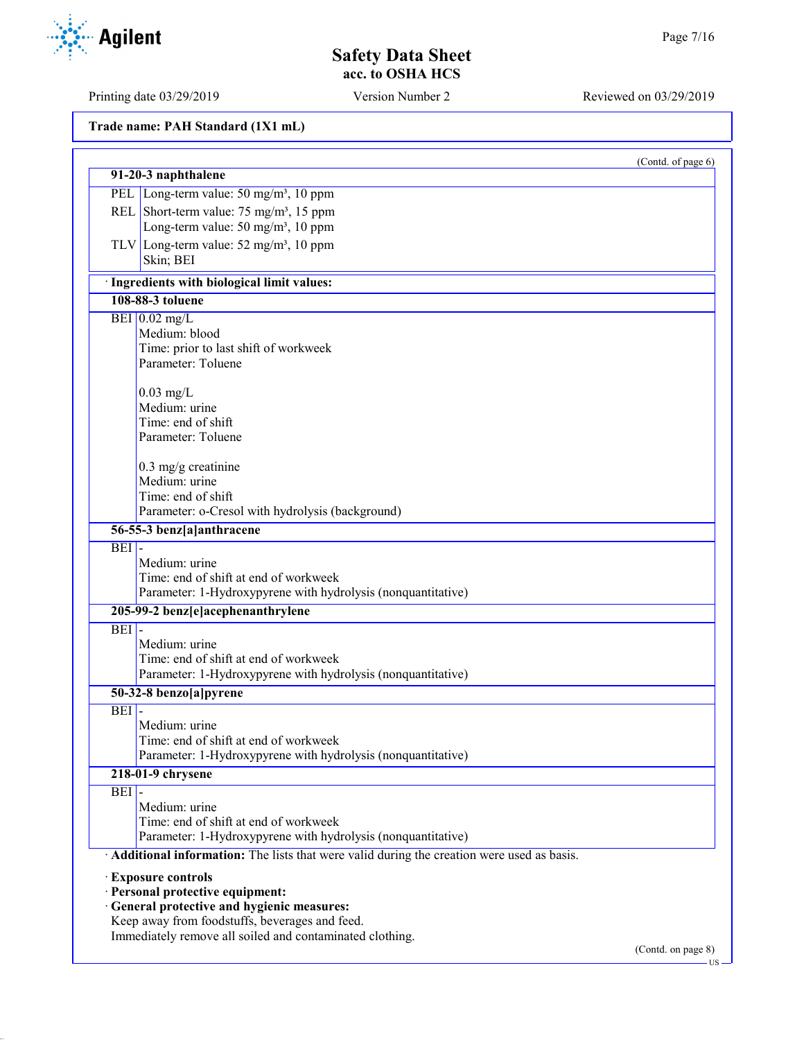Printing date 03/29/2019 Version Number 2 Reviewed on 03/29/2019

**Trade name: PAH Standard (1X1 mL)**

|                 |                                                                                                                        | (Contd. of page 6) |
|-----------------|------------------------------------------------------------------------------------------------------------------------|--------------------|
|                 | 91-20-3 naphthalene                                                                                                    |                    |
|                 | PEL Long-term value: 50 mg/m <sup>3</sup> , 10 ppm                                                                     |                    |
|                 | REL Short-term value: $75 \text{ mg/m}^3$ , 15 ppm                                                                     |                    |
|                 | Long-term value: 50 mg/m <sup>3</sup> , 10 ppm                                                                         |                    |
|                 | TLV Long-term value: $52 \text{ mg/m}^3$ , 10 ppm                                                                      |                    |
|                 | Skin; BEI                                                                                                              |                    |
|                 | · Ingredients with biological limit values:                                                                            |                    |
|                 | 108-88-3 toluene                                                                                                       |                    |
| BEI $0.02$ mg/L |                                                                                                                        |                    |
|                 | Medium: blood                                                                                                          |                    |
|                 | Time: prior to last shift of workweek                                                                                  |                    |
|                 | Parameter: Toluene                                                                                                     |                    |
|                 | $0.03$ mg/L                                                                                                            |                    |
|                 | Medium: urine                                                                                                          |                    |
|                 | Time: end of shift                                                                                                     |                    |
|                 | Parameter: Toluene                                                                                                     |                    |
|                 | $0.3$ mg/g creatinine                                                                                                  |                    |
|                 | Medium: urine                                                                                                          |                    |
|                 | Time: end of shift                                                                                                     |                    |
|                 | Parameter: o-Cresol with hydrolysis (background)                                                                       |                    |
|                 | 56-55-3 benz[a]anthracene                                                                                              |                    |
| <b>BEI</b>      | Medium: urine<br>Time: end of shift at end of workweek<br>Parameter: 1-Hydroxypyrene with hydrolysis (nonquantitative) |                    |
|                 | 205-99-2 benz[e]acephenanthrylene                                                                                      |                    |
| <b>BEI</b>      |                                                                                                                        |                    |
|                 | Medium: urine                                                                                                          |                    |
|                 | Time: end of shift at end of workweek                                                                                  |                    |
|                 | Parameter: 1-Hydroxypyrene with hydrolysis (nonquantitative)                                                           |                    |
|                 | 50-32-8 benzo[a]pyrene                                                                                                 |                    |
| $BEI$ -         | Medium: urine                                                                                                          |                    |
|                 | Time: end of shift at end of workweek                                                                                  |                    |
|                 | Parameter: 1-Hydroxypyrene with hydrolysis (nonquantitative)                                                           |                    |
|                 | 218-01-9 chrysene                                                                                                      |                    |
| <b>BEI</b>      |                                                                                                                        |                    |
|                 | Medium: urine                                                                                                          |                    |
|                 | Time: end of shift at end of workweek                                                                                  |                    |
|                 | Parameter: 1-Hydroxypyrene with hydrolysis (nonquantitative)                                                           |                    |
|                 | Additional information: The lists that were valid during the creation were used as basis.                              |                    |
|                 |                                                                                                                        |                    |
|                 | · Exposure controls<br>· Personal protective equipment:                                                                |                    |
|                 | · General protective and hygienic measures:                                                                            |                    |
|                 | Keep away from foodstuffs, beverages and feed.                                                                         |                    |
|                 | Immediately remove all soiled and contaminated clothing.                                                               |                    |
|                 |                                                                                                                        |                    |

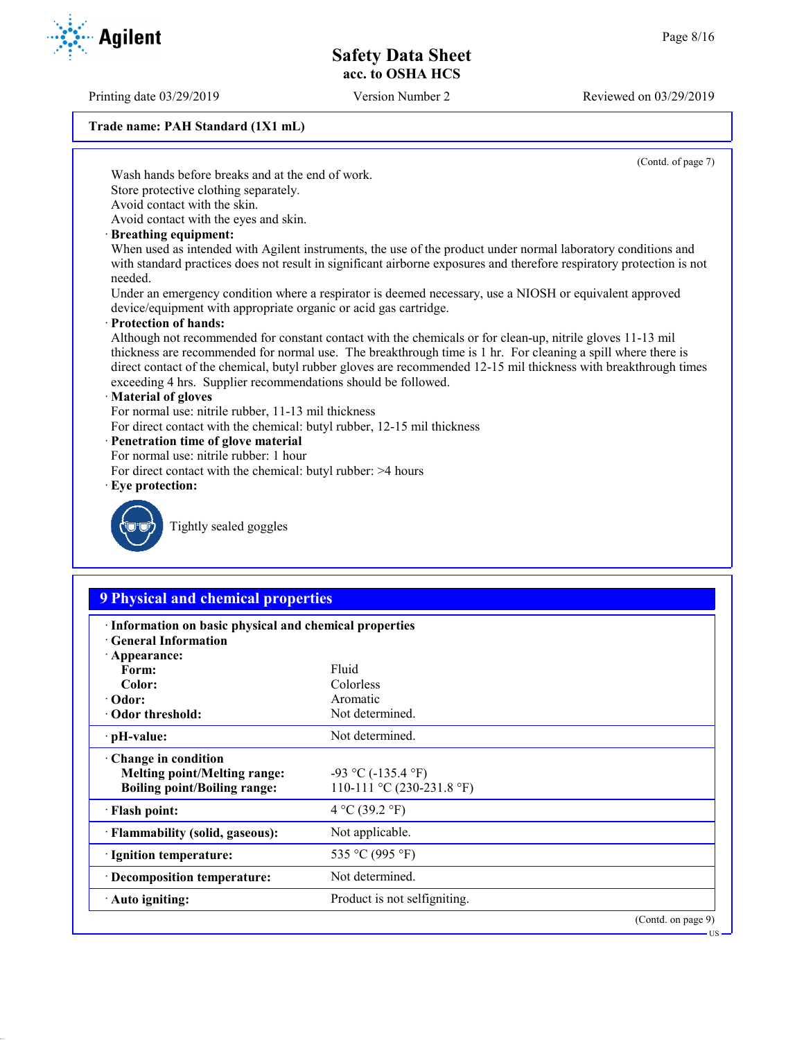Printing date 03/29/2019 Version Number 2 Reviewed on 03/29/2019

**Trade name: PAH Standard (1X1 mL)**

(Contd. of page 7)

US

Wash hands before breaks and at the end of work. Store protective clothing separately.

Avoid contact with the skin.

Avoid contact with the eyes and skin.

#### · **Breathing equipment:**

When used as intended with Agilent instruments, the use of the product under normal laboratory conditions and with standard practices does not result in significant airborne exposures and therefore respiratory protection is not needed.

Under an emergency condition where a respirator is deemed necessary, use a NIOSH or equivalent approved device/equipment with appropriate organic or acid gas cartridge.

#### · **Protection of hands:**

Although not recommended for constant contact with the chemicals or for clean-up, nitrile gloves 11-13 mil thickness are recommended for normal use. The breakthrough time is 1 hr. For cleaning a spill where there is direct contact of the chemical, butyl rubber gloves are recommended 12-15 mil thickness with breakthrough times exceeding 4 hrs. Supplier recommendations should be followed.

## · **Material of gloves**

For normal use: nitrile rubber, 11-13 mil thickness

For direct contact with the chemical: butyl rubber, 12-15 mil thickness

- · **Penetration time of glove material**
- For normal use: nitrile rubber: 1 hour
- For direct contact with the chemical: butyl rubber: >4 hours

#### · **Eye protection:**



Tightly sealed goggles

## **9 Physical and chemical properties**

| · Information on basic physical and chemical properties<br><b>General Information</b> |                              |
|---------------------------------------------------------------------------------------|------------------------------|
| $\cdot$ Appearance:                                                                   |                              |
| Form:                                                                                 | Fluid                        |
| Color:                                                                                | Colorless                    |
| $\cdot$ Odor:                                                                         | Aromatic                     |
| · Odor threshold:                                                                     | Not determined.              |
| ∙ pH-value:                                                                           | Not determined.              |
| $\cdot$ Change in condition                                                           |                              |
| <b>Melting point/Melting range:</b>                                                   | $-93$ °C ( $-135.4$ °F)      |
| <b>Boiling point/Boiling range:</b>                                                   | 110-111 °C (230-231.8 °F)    |
| · Flash point:                                                                        | 4 °C (39.2 °F)               |
| · Flammability (solid, gaseous):                                                      | Not applicable.              |
| · Ignition temperature:                                                               | 535 °C (995 °F)              |
| Decomposition temperature:                                                            | Not determined.              |
| $\cdot$ Auto igniting:                                                                | Product is not selfigniting. |
|                                                                                       | (Contd. on page 9)           |

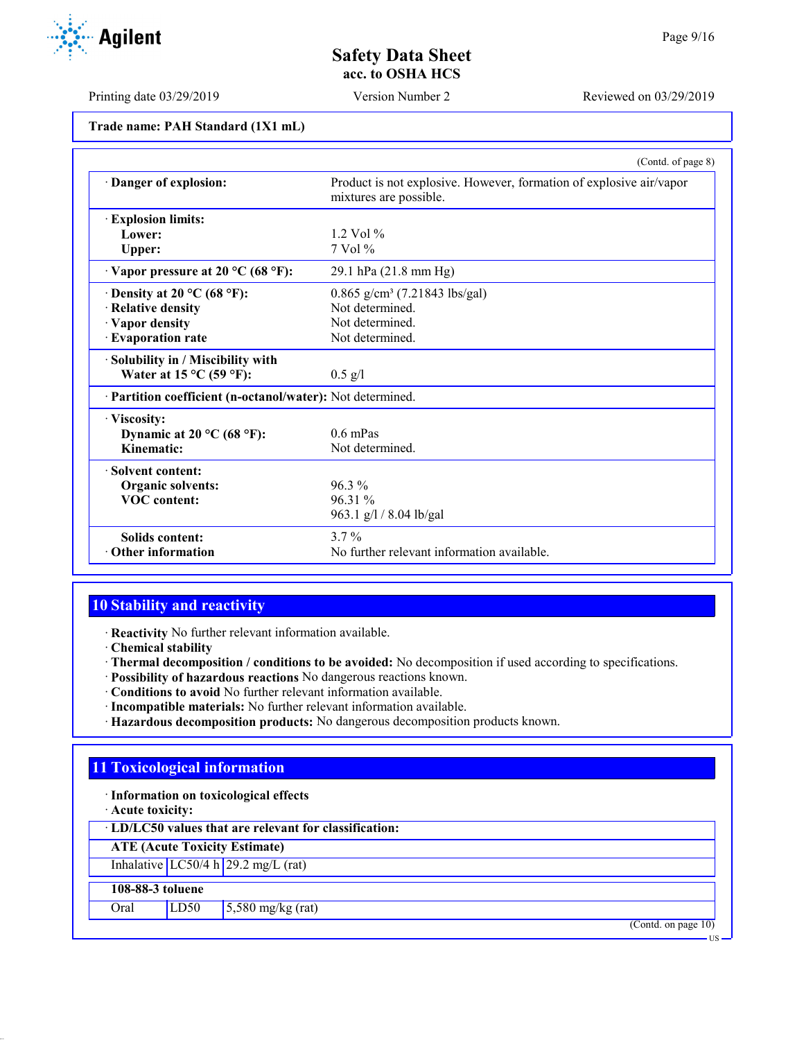Printing date 03/29/2019 Version Number 2 Reviewed on 03/29/2019

|                                                            | (Contd. of page 8)                                                                            |
|------------------------------------------------------------|-----------------------------------------------------------------------------------------------|
| Danger of explosion:                                       | Product is not explosive. However, formation of explosive air/vapor<br>mixtures are possible. |
| <b>Explosion limits:</b>                                   |                                                                                               |
| Lower:                                                     | $1.2$ Vol $%$                                                                                 |
| Upper:                                                     | 7 Vol %                                                                                       |
| $\cdot$ Vapor pressure at 20 °C (68 °F):                   | 29.1 hPa (21.8 mm Hg)                                                                         |
| $\cdot$ Density at 20 °C (68 °F):                          | $0.865$ g/cm <sup>3</sup> (7.21843 lbs/gal)                                                   |
| · Relative density                                         | Not determined.                                                                               |
| · Vapor density                                            | Not determined.                                                                               |
| · Evaporation rate                                         | Not determined.                                                                               |
| · Solubility in / Miscibility with                         |                                                                                               |
| Water at $15^{\circ}$ C (59 °F):                           | $0.5$ g/l                                                                                     |
| · Partition coefficient (n-octanol/water): Not determined. |                                                                                               |
| · Viscosity:                                               |                                                                                               |
| Dynamic at 20 °C (68 °F):                                  | $0.6$ mPas                                                                                    |
| Kinematic:                                                 | Not determined.                                                                               |
| · Solvent content:                                         |                                                                                               |
| Organic solvents:                                          | $96.3\%$                                                                                      |
| <b>VOC</b> content:                                        | 96.31 %                                                                                       |
|                                                            | 963.1 g/l / 8.04 lb/gal                                                                       |
| <b>Solids content:</b>                                     | $3.7\%$                                                                                       |
| <b>Other information</b>                                   | No further relevant information available.                                                    |

## **10 Stability and reactivity**

· **Reactivity** No further relevant information available.

- · **Chemical stability**
- · **Thermal decomposition / conditions to be avoided:** No decomposition if used according to specifications.
- · **Possibility of hazardous reactions** No dangerous reactions known.
- · **Conditions to avoid** No further relevant information available.
- · **Incompatible materials:** No further relevant information available.
- · **Hazardous decomposition products:** No dangerous decomposition products known.

## **11 Toxicological information**

· **Information on toxicological effects**

· **Acute toxicity:**

· **LD/LC50 values that are relevant for classification:**

**ATE (Acute Toxicity Estimate)**

Inhalative  $LC50/4 h 29.2 mg/L (rat)$ 

## **108-88-3 toluene**

Oral LD50 5,580 mg/kg (rat)

(Contd. on page 10)



US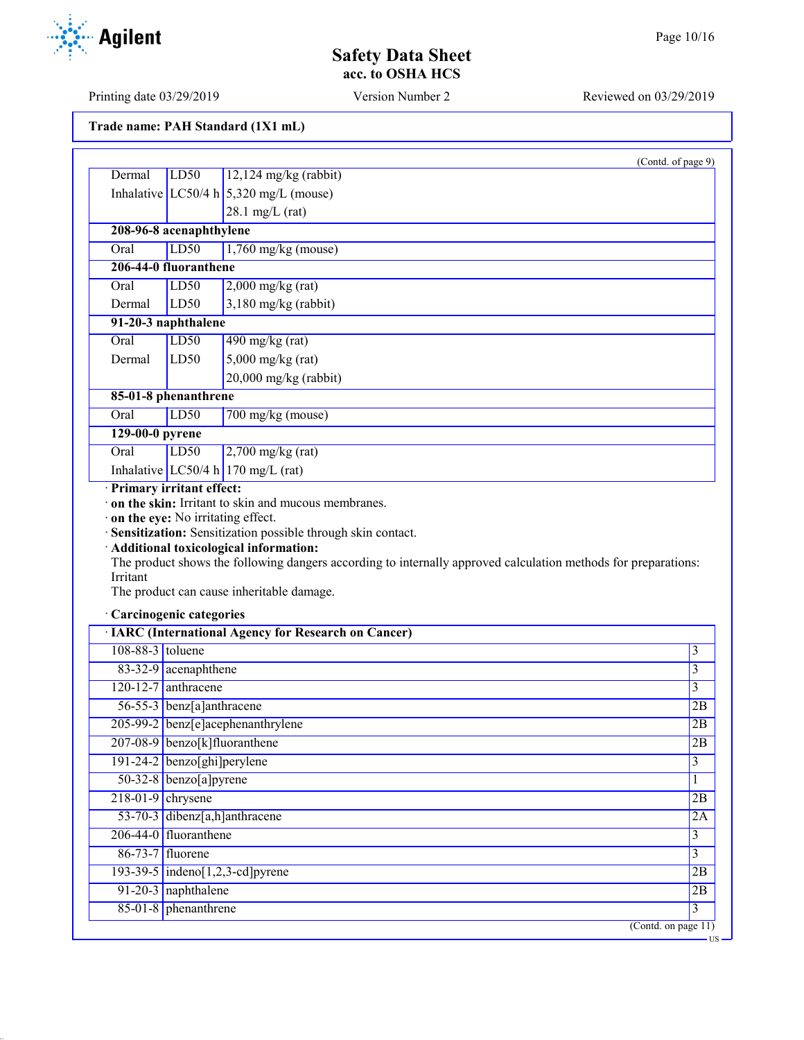US

# **Safety Data Sheet acc. to OSHA HCS**

Printing date 03/29/2019 Version Number 2 Reviewed on 03/29/2019

| Trade name: PAH Standard (1X1 mL) |  |  |  |  |
|-----------------------------------|--|--|--|--|
|-----------------------------------|--|--|--|--|

| Dermal                            | LD50                       | $12,124$ mg/kg (rabbit)                                                                                                                                                                                                                                                           |                                                                                                   |
|-----------------------------------|----------------------------|-----------------------------------------------------------------------------------------------------------------------------------------------------------------------------------------------------------------------------------------------------------------------------------|---------------------------------------------------------------------------------------------------|
|                                   |                            | Inhalative LC50/4 h $5,320$ mg/L (mouse)                                                                                                                                                                                                                                          |                                                                                                   |
|                                   |                            | $28.1$ mg/L (rat)                                                                                                                                                                                                                                                                 |                                                                                                   |
|                                   |                            |                                                                                                                                                                                                                                                                                   |                                                                                                   |
| 208-96-8 acenaphthylene           |                            |                                                                                                                                                                                                                                                                                   |                                                                                                   |
| Oral                              | LD50                       | $1,760$ mg/kg (mouse)                                                                                                                                                                                                                                                             |                                                                                                   |
| 206-44-0 fluoranthene             |                            |                                                                                                                                                                                                                                                                                   |                                                                                                   |
| Oral                              | LD50                       | $2,000$ mg/kg (rat)                                                                                                                                                                                                                                                               |                                                                                                   |
| Dermal                            | LD50                       | $3,180$ mg/kg (rabbit)                                                                                                                                                                                                                                                            |                                                                                                   |
| 91-20-3 naphthalene               |                            |                                                                                                                                                                                                                                                                                   |                                                                                                   |
| Oral                              | LD50                       | $490$ mg/kg (rat)                                                                                                                                                                                                                                                                 |                                                                                                   |
| Dermal                            | LD50                       | $5,000$ mg/kg (rat)                                                                                                                                                                                                                                                               |                                                                                                   |
|                                   |                            | $20,000$ mg/kg (rabbit)                                                                                                                                                                                                                                                           |                                                                                                   |
| 85-01-8 phenanthrene              |                            |                                                                                                                                                                                                                                                                                   |                                                                                                   |
| Oral                              | LD50                       | 700 mg/kg (mouse)                                                                                                                                                                                                                                                                 |                                                                                                   |
| 129-00-0 pyrene                   |                            |                                                                                                                                                                                                                                                                                   |                                                                                                   |
| Oral                              | LD <sub>50</sub>           | $2,700$ mg/kg (rat)                                                                                                                                                                                                                                                               |                                                                                                   |
|                                   |                            | Inhalative LC50/4 h 170 mg/L (rat)                                                                                                                                                                                                                                                |                                                                                                   |
| on the eye: No irritating effect. | · Primary irritant effect: | on the skin: Irritant to skin and mucous membranes.<br>· Sensitization: Sensitization possible through skin contact.<br>· Additional toxicological information:<br>The product shows the following dangers according to internally approved calculation methods for preparations: |                                                                                                   |
| Irritant                          |                            | The product can cause inheritable damage.                                                                                                                                                                                                                                         |                                                                                                   |
| · Carcinogenic categories         |                            |                                                                                                                                                                                                                                                                                   |                                                                                                   |
|                                   |                            | <b>· IARC (International Agency for Research on Cancer)</b>                                                                                                                                                                                                                       |                                                                                                   |
| 108-88-3 toluene                  |                            |                                                                                                                                                                                                                                                                                   |                                                                                                   |
|                                   | 83-32-9 acenaphthene       |                                                                                                                                                                                                                                                                                   |                                                                                                   |
| 120-12-7 anthracene               |                            |                                                                                                                                                                                                                                                                                   |                                                                                                   |
|                                   | 56-55-3 benz[a]anthracene  |                                                                                                                                                                                                                                                                                   |                                                                                                   |
|                                   |                            | 205-99-2 benz[e]acephenanthrylene                                                                                                                                                                                                                                                 |                                                                                                   |
|                                   |                            | 207-08-9 benzo[k]fluoranthene                                                                                                                                                                                                                                                     |                                                                                                   |
| $191-24-2$ benzo[ghi]perylene     |                            |                                                                                                                                                                                                                                                                                   |                                                                                                   |
|                                   | $50-32-8$ benzo[a]pyrene   |                                                                                                                                                                                                                                                                                   |                                                                                                   |
| $218-01-9$ chrysene               |                            |                                                                                                                                                                                                                                                                                   |                                                                                                   |
|                                   |                            | 53-70-3 dibenz[a,h]anthracene                                                                                                                                                                                                                                                     |                                                                                                   |
| 206-44-0 fluoranthene             |                            |                                                                                                                                                                                                                                                                                   |                                                                                                   |
| 86-73-7 fluorene                  |                            |                                                                                                                                                                                                                                                                                   |                                                                                                   |
|                                   | 91-20-3 naphthalene        | $193-39-5$ indeno[1,2,3-cd] pyrene                                                                                                                                                                                                                                                | 3<br>3<br>3<br>2B<br>2B<br>2B<br>3<br>$\mathbf{1}$<br>2B<br>2A<br>$\overline{3}$<br>3<br>2B<br>2B |

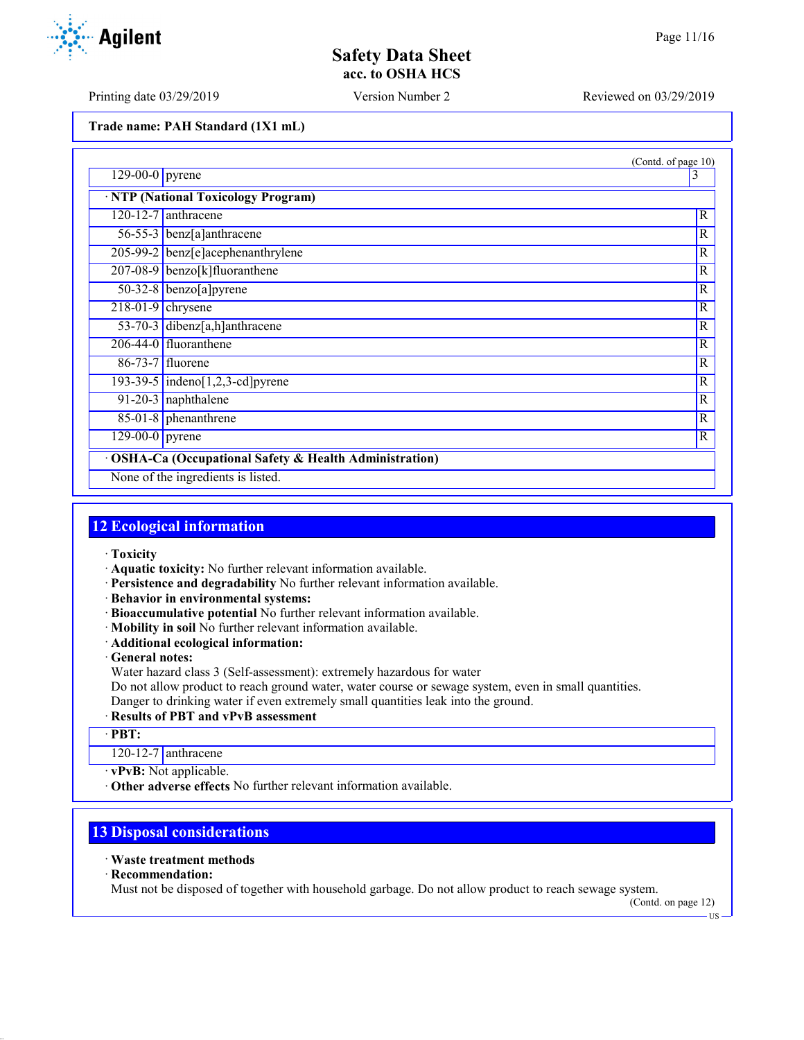Printing date 03/29/2019 Version Number 2 Reviewed on 03/29/2019

**Trade name: PAH Standard (1X1 mL)**

|                              |                                                                  | (Contd. of page 10) |
|------------------------------|------------------------------------------------------------------|---------------------|
| $129-00-0$ pyrene            |                                                                  | 3                   |
|                              | · NTP (National Toxicology Program)                              |                     |
|                              | 120-12-7 anthracene                                              | $\mathbb{R}$        |
|                              | 56-55-3 benz[a]anthracene                                        | $\mathbb{R}$        |
|                              | 205-99-2 benz[e]acephenanthrylene                                | $\mathbb{R}$        |
|                              | 207-08-9 benzo[k]fluoranthene                                    | $\mathbb{R}$        |
|                              | $50-32-8$ benzo[a] pyrene                                        | $\mathbb{R}$        |
| $218-01-9$ chrysene          |                                                                  | $\mathbb{R}$        |
|                              | 53-70-3 dibenz[a,h]anthracene                                    | $\overline{R}$      |
|                              | $206-44-0$ fluoranthene                                          | $\overline{R}$      |
|                              | 86-73-7 fluorene                                                 | $\overline{R}$      |
|                              | $193-39-5$ indeno[1,2,3-cd]pyrene                                | $\mathbb{R}$        |
|                              | $91-20-3$ naphthalene                                            | $\mathbb{R}$        |
|                              | 85-01-8 phenanthrene                                             | $\mathbb{R}$        |
| $\overline{129-00-0}$ pyrene |                                                                  | R                   |
|                              | <b>OSHA-Ca (Occupational Safety &amp; Health Administration)</b> |                     |
|                              | None of the ingredients is listed.                               |                     |

## **12 Ecological information**

- · **Toxicity**
- · **Aquatic toxicity:** No further relevant information available.
- · **Persistence and degradability** No further relevant information available.
- · **Behavior in environmental systems:**
- · **Bioaccumulative potential** No further relevant information available.
- · **Mobility in soil** No further relevant information available.
- · **Additional ecological information:**

· **General notes:**

Water hazard class 3 (Self-assessment): extremely hazardous for water

Do not allow product to reach ground water, water course or sewage system, even in small quantities.

Danger to drinking water if even extremely small quantities leak into the ground.

## · **Results of PBT and vPvB assessment**

· **PBT:**

120-12-7 anthracene

· **vPvB:** Not applicable.

· **Other adverse effects** No further relevant information available.

# **13 Disposal considerations**

## · **Waste treatment methods**

· **Recommendation:**

Must not be disposed of together with household garbage. Do not allow product to reach sewage system.

(Contd. on page 12)

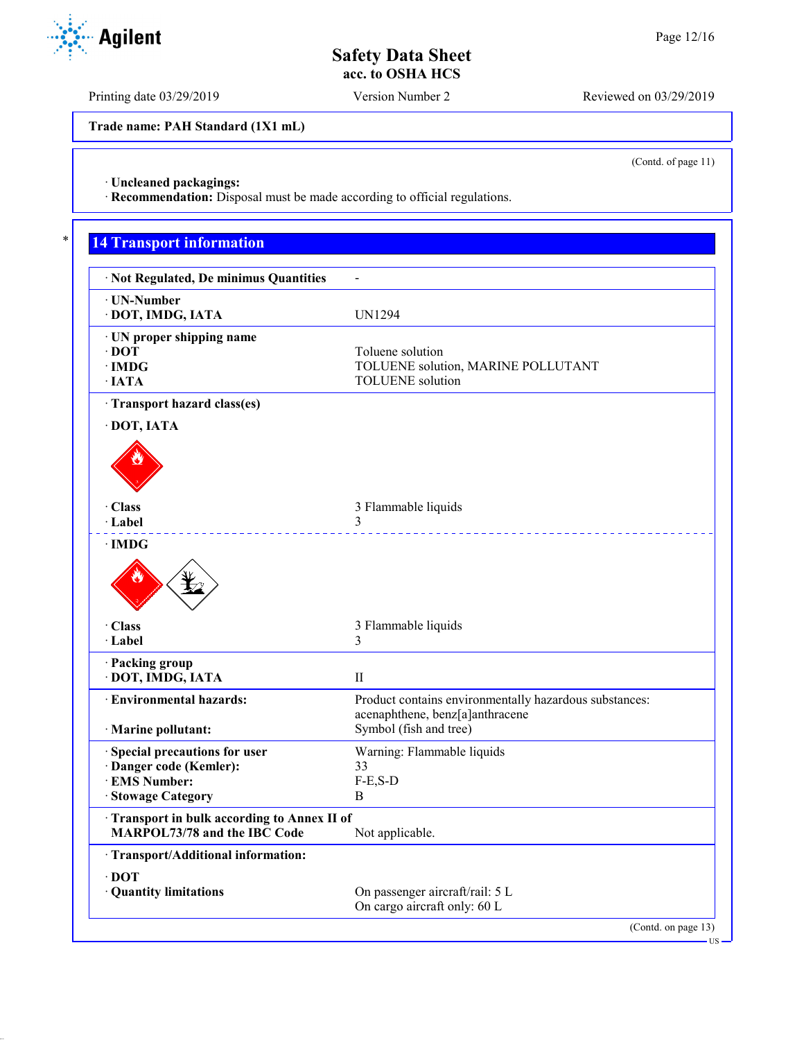Printing date 03/29/2019 Version Number 2 Reviewed on 03/29/2019

**Trade name: PAH Standard (1X1 mL)**

(Contd. of page 11)

· **Uncleaned packagings:**

· **Recommendation:** Disposal must be made according to official regulations.

# \* **14 Transport information**

| · Not Regulated, De minimus Quantities                                     |                                                               |
|----------------------------------------------------------------------------|---------------------------------------------------------------|
| · UN-Number                                                                |                                                               |
| · DOT, IMDG, IATA                                                          | UN1294                                                        |
| · UN proper shipping name                                                  |                                                               |
| $\cdot$ DOT<br>$\cdot$ IMDG                                                | Toluene solution                                              |
| · IATA                                                                     | TOLUENE solution, MARINE POLLUTANT<br><b>TOLUENE</b> solution |
|                                                                            |                                                               |
| · Transport hazard class(es)                                               |                                                               |
| DOT, IATA                                                                  |                                                               |
| · Class                                                                    | 3 Flammable liquids                                           |
| · Label                                                                    | 3                                                             |
| ∙IMDG                                                                      |                                                               |
|                                                                            |                                                               |
| · Class                                                                    | 3 Flammable liquids                                           |
| · Label                                                                    | 3                                                             |
| · Packing group                                                            |                                                               |
| · DOT, IMDG, IATA                                                          | $_{\rm II}$                                                   |
| <b>Environmental hazards:</b>                                              | Product contains environmentally hazardous substances:        |
|                                                                            | acenaphthene, benz[a]anthracene                               |
| · Marine pollutant:                                                        | Symbol (fish and tree)                                        |
| · Special precautions for user                                             | Warning: Flammable liquids                                    |
| · Danger code (Kemler):                                                    | 33                                                            |
| <b>EMS Number:</b>                                                         | $F-E$ , $S-D$                                                 |
| · Stowage Category                                                         | B                                                             |
| Transport in bulk according to Annex II of<br>MARPOL73/78 and the IBC Code | Not applicable.                                               |
| · Transport/Additional information:                                        |                                                               |
| $\cdot$ DOT                                                                |                                                               |
| · Quantity limitations                                                     | On passenger aircraft/rail: 5 L                               |
|                                                                            | On cargo aircraft only: 60 L                                  |
|                                                                            | (Contd. on page 13)                                           |
|                                                                            |                                                               |

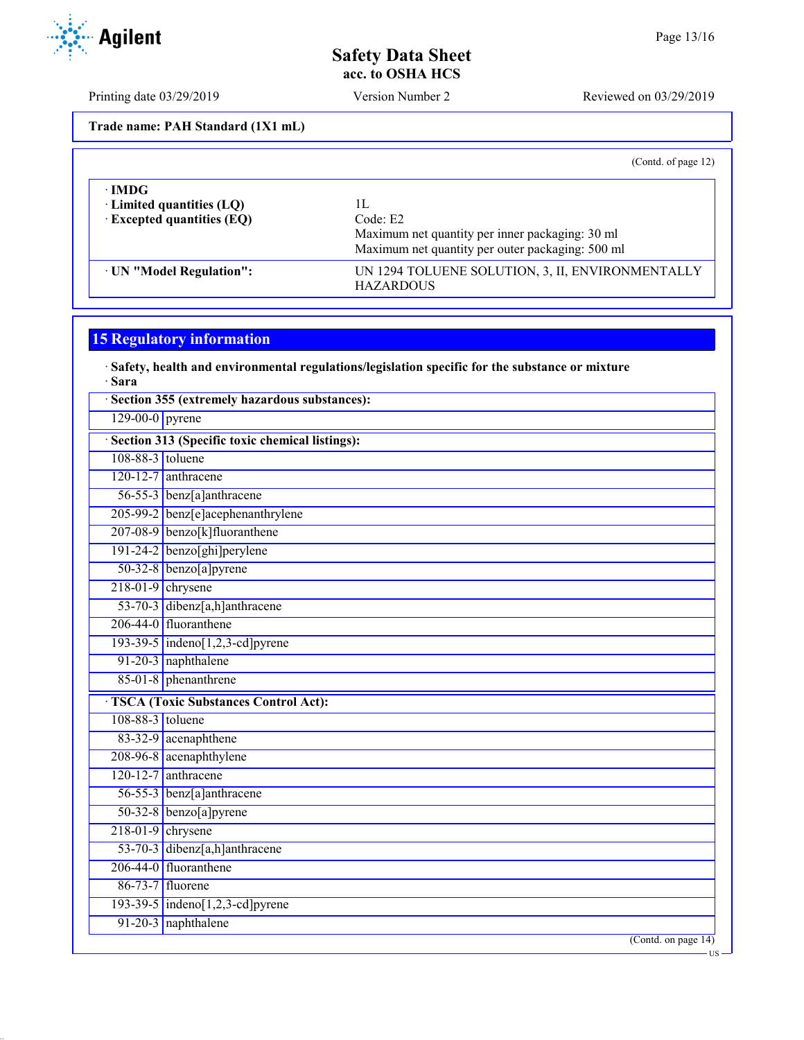Printing date 03/29/2019 Version Number 2 Reviewed on 03/29/2019

**Trade name: PAH Standard (1X1 mL)**

|                                  | (Contd. of page 12)                                                  |
|----------------------------------|----------------------------------------------------------------------|
| ∙IMDG                            |                                                                      |
| $\cdot$ Limited quantities (LQ)  | lЬ                                                                   |
| $\cdot$ Excepted quantities (EQ) | Code: E2                                                             |
|                                  | Maximum net quantity per inner packaging: 30 ml                      |
|                                  | Maximum net quantity per outer packaging: 500 ml                     |
| · UN "Model Regulation":         | UN 1294 TOLUENE SOLUTION, 3, II, ENVIRONMENTALLY<br><b>HAZARDOUS</b> |

# **15 Regulatory information**

#### · **Safety, health and environmental regulations/legislation specific for the substance or mixture** · **Sara**

|                     | Section 355 (extremely hazardous substances):   |  |  |
|---------------------|-------------------------------------------------|--|--|
| $129-00-0$ pyrene   |                                                 |  |  |
|                     | Section 313 (Specific toxic chemical listings): |  |  |
| 108-88-3 toluene    |                                                 |  |  |
|                     | $120-12-7$ anthracene                           |  |  |
|                     | 56-55-3 benz[a]anthracene                       |  |  |
|                     | 205-99-2 benz[e]acephenanthrylene               |  |  |
|                     | 207-08-9 benzo[k]fluoranthene                   |  |  |
|                     | 191-24-2 benzo[ghi]perylene                     |  |  |
|                     | $50-32-8$ benzo[a] pyrene                       |  |  |
| $218-01-9$ chrysene |                                                 |  |  |
|                     | 53-70-3 dibenz[a,h]anthracene                   |  |  |
|                     | 206-44-0 fluoranthene                           |  |  |
|                     | 193-39-5 indeno[1,2,3-cd] pyrene                |  |  |
|                     | 91-20-3 naphthalene                             |  |  |
|                     | 85-01-8 phenanthrene                            |  |  |
|                     | <b>TSCA</b> (Toxic Substances Control Act):     |  |  |
| 108-88-3 toluene    |                                                 |  |  |
|                     | 83-32-9 acenaphthene                            |  |  |
|                     | 208-96-8 acenaphthylene                         |  |  |
|                     | $120-12-7$ anthracene                           |  |  |
|                     | 56-55-3 benz[a]anthracene                       |  |  |
|                     | 50-32-8 benzo[a]pyrene                          |  |  |
| $218-01-9$ chrysene |                                                 |  |  |
|                     | 53-70-3 dibenz[a,h]anthracene                   |  |  |
|                     | 206-44-0 fluoranthene                           |  |  |
|                     | 86-73-7 fluorene                                |  |  |
|                     | 193-39-5 indeno[1,2,3-cd] pyrene                |  |  |
|                     | 91-20-3 naphthalene                             |  |  |
|                     | (Cond. on page 14)<br>US                        |  |  |

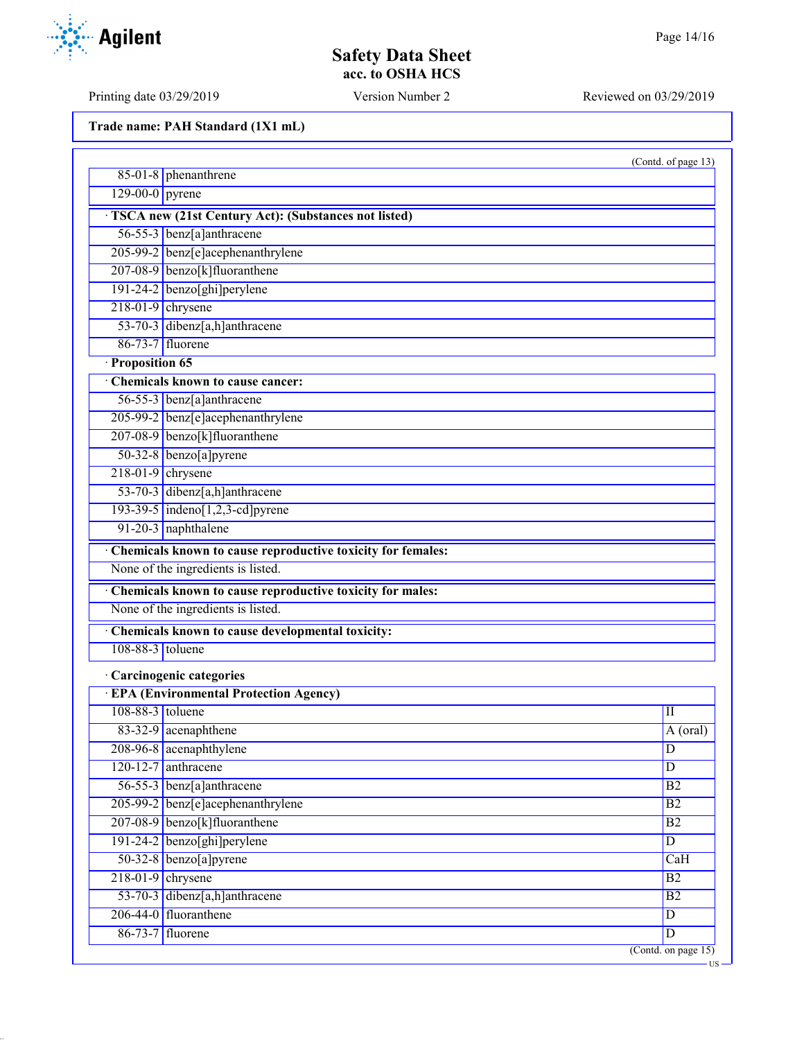US

# **Safety Data Sheet acc. to OSHA HCS**

Printing date 03/29/2019 Version Number 2 Reviewed on 03/29/2019

**Trade name: PAH Standard (1X1 mL)**

|                     |                                                               | (Contd. of page 13) |
|---------------------|---------------------------------------------------------------|---------------------|
|                     | $85-01-8$ phenanthrene                                        |                     |
| $129-00-0$ pyrene   |                                                               |                     |
|                     | TSCA new (21st Century Act): (Substances not listed)          |                     |
|                     | 56-55-3 benz[a]anthracene                                     |                     |
|                     | 205-99-2 benz[e]acephenanthrylene                             |                     |
|                     | 207-08-9 benzo[k]fluoranthene                                 |                     |
|                     | 191-24-2 benzo[ghi]perylene                                   |                     |
| $218-01-9$ chrysene |                                                               |                     |
|                     | 53-70-3 dibenz[a,h]anthracene                                 |                     |
|                     | 86-73-7 fluorene                                              |                     |
| · Proposition 65    |                                                               |                     |
|                     | Chemicals known to cause cancer:                              |                     |
|                     | 56-55-3 benz[a]anthracene                                     |                     |
|                     | 205-99-2 benz[e]acephenanthrylene                             |                     |
|                     | 207-08-9 benzo[k]fluoranthene                                 |                     |
|                     | 50-32-8 benzo[a]pyrene                                        |                     |
|                     | $218-01-9$ chrysene                                           |                     |
|                     | 53-70-3 dibenz[a,h]anthracene                                 |                     |
|                     | 193-39-5 indeno[1,2,3-cd]pyrene                               |                     |
|                     | 91-20-3 naphthalene                                           |                     |
|                     | · Chemicals known to cause reproductive toxicity for females: |                     |
|                     | None of the ingredients is listed.                            |                     |
|                     | Chemicals known to cause reproductive toxicity for males:     |                     |
|                     | None of the ingredients is listed.                            |                     |
|                     | Chemicals known to cause developmental toxicity:              |                     |
| 108-88-3 toluene    |                                                               |                     |
|                     | · Carcinogenic categories                                     |                     |
|                     | <b>EPA</b> (Environmental Protection Agency)                  |                     |
| 108-88-3 toluene    |                                                               | П                   |
|                     | 83-32-9 acenaphthene                                          | A (oral)            |
|                     | 208-96-8 acenaphthylene                                       | D                   |
|                     | $120 - 12 - 7$ anthracene                                     | $\mathbf D$         |
|                     | 56-55-3 benz[a]anthracene                                     | B2                  |
|                     | 205-99-2 benz[e]acephenanthrylene                             | B2                  |
|                     | 207-08-9 benzo[k]fluoranthene                                 | B2                  |
|                     | 191-24-2 benzo[ghi]perylene                                   | $\overline{D}$      |
|                     | $50-32-8$ benzo[a]pyrene                                      | CaH                 |
|                     | $218-01-9$ chrysene                                           | B2                  |
|                     | 53-70-3 dibenz[a,h]anthracene                                 | B2                  |
|                     | 206-44-0 fluoranthene                                         | $\overline{D}$      |
|                     | 86-73-7 fluorene                                              | $\overline{D}$      |
|                     |                                                               | (Contd. on page 15) |

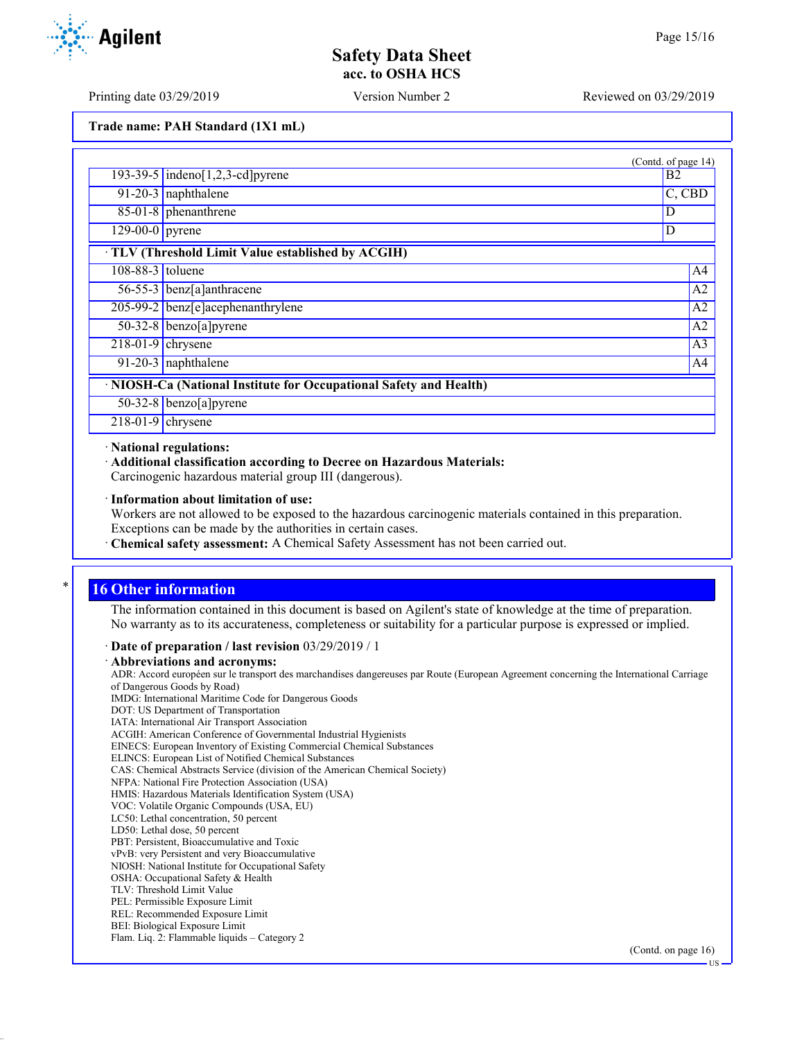**Agilent** 

Printing date 03/29/2019 Version Number 2 Reviewed on 03/29/2019

**Trade name: PAH Standard (1X1 mL)**

|                              |                                                                    | (Contd. of page 14) |
|------------------------------|--------------------------------------------------------------------|---------------------|
|                              | 193-39-5 indeno[1,2,3-cd] pyrene                                   | B <sub>2</sub>      |
|                              | 91-20-3 naphthalene                                                | C, CBD              |
|                              | $85-01-8$ phenanthrene                                             | D                   |
| $\overline{129-00-0}$ pyrene |                                                                    | D                   |
|                              | TLV (Threshold Limit Value established by ACGIH)                   |                     |
| 108-88-3 toluene             |                                                                    | A4                  |
|                              | 56-55-3 benz[a]anthracene                                          | A <sub>2</sub>      |
|                              | 205-99-2 benz[e]acephenanthrylene                                  | A <sub>2</sub>      |
|                              | $50-32-8$ benzo[a] pyrene                                          | A <sub>2</sub>      |
| $\sqrt{218-01-9}$ chrysene   |                                                                    | A <sub>3</sub>      |
|                              | 91-20-3 naphthalene                                                | A4                  |
|                              | · NIOSH-Ca (National Institute for Occupational Safety and Health) |                     |
|                              | 50-32-8 benzo[a]pyrene                                             |                     |
| $218-01-9$ chrysene          |                                                                    |                     |

#### · **National regulations:**

· **Additional classification according to Decree on Hazardous Materials:**

Carcinogenic hazardous material group III (dangerous).

· **Information about limitation of use:**

Workers are not allowed to be exposed to the hazardous carcinogenic materials contained in this preparation. Exceptions can be made by the authorities in certain cases.

· **Chemical safety assessment:** A Chemical Safety Assessment has not been carried out.

## **16 Other information**

The information contained in this document is based on Agilent's state of knowledge at the time of preparation. No warranty as to its accurateness, completeness or suitability for a particular purpose is expressed or implied.

## · **Date of preparation / last revision** 03/29/2019 / 1

#### · **Abbreviations and acronyms:**

ADR: Accord européen sur le transport des marchandises dangereuses par Route (European Agreement concerning the International Carriage of Dangerous Goods by Road) IMDG: International Maritime Code for Dangerous Goods DOT: US Department of Transportation IATA: International Air Transport Association ACGIH: American Conference of Governmental Industrial Hygienists EINECS: European Inventory of Existing Commercial Chemical Substances ELINCS: European List of Notified Chemical Substances CAS: Chemical Abstracts Service (division of the American Chemical Society) NFPA: National Fire Protection Association (USA) HMIS: Hazardous Materials Identification System (USA) VOC: Volatile Organic Compounds (USA, EU) LC50: Lethal concentration, 50 percent LD50: Lethal dose, 50 percent PBT: Persistent, Bioaccumulative and Toxic vPvB: very Persistent and very Bioaccumulative NIOSH: National Institute for Occupational Safety OSHA: Occupational Safety & Health TLV: Threshold Limit Value PEL: Permissible Exposure Limit REL: Recommended Exposure Limit BEI: Biological Exposure Limit Flam. Liq. 2: Flammable liquids – Category 2